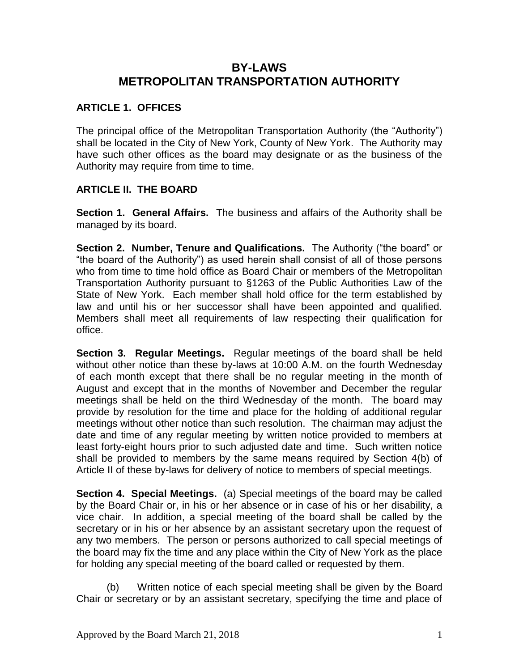# **BY-LAWS METROPOLITAN TRANSPORTATION AUTHORITY**

## **ARTICLE 1. OFFICES**

The principal office of the Metropolitan Transportation Authority (the "Authority") shall be located in the City of New York, County of New York. The Authority may have such other offices as the board may designate or as the business of the Authority may require from time to time.

#### **ARTICLE II. THE BOARD**

**Section 1. General Affairs.** The business and affairs of the Authority shall be managed by its board.

**Section 2. Number, Tenure and Qualifications.** The Authority ("the board" or "the board of the Authority") as used herein shall consist of all of those persons who from time to time hold office as Board Chair or members of the Metropolitan Transportation Authority pursuant to §1263 of the Public Authorities Law of the State of New York. Each member shall hold office for the term established by law and until his or her successor shall have been appointed and qualified. Members shall meet all requirements of law respecting their qualification for office.

**Section 3. Regular Meetings.** Regular meetings of the board shall be held without other notice than these by-laws at 10:00 A.M. on the fourth Wednesday of each month except that there shall be no regular meeting in the month of August and except that in the months of November and December the regular meetings shall be held on the third Wednesday of the month. The board may provide by resolution for the time and place for the holding of additional regular meetings without other notice than such resolution. The chairman may adjust the date and time of any regular meeting by written notice provided to members at least forty-eight hours prior to such adjusted date and time. Such written notice shall be provided to members by the same means required by Section 4(b) of Article II of these by-laws for delivery of notice to members of special meetings.

**Section 4. Special Meetings.** (a) Special meetings of the board may be called by the Board Chair or, in his or her absence or in case of his or her disability, a vice chair. In addition, a special meeting of the board shall be called by the secretary or in his or her absence by an assistant secretary upon the request of any two members. The person or persons authorized to call special meetings of the board may fix the time and any place within the City of New York as the place for holding any special meeting of the board called or requested by them.

(b) Written notice of each special meeting shall be given by the Board Chair or secretary or by an assistant secretary, specifying the time and place of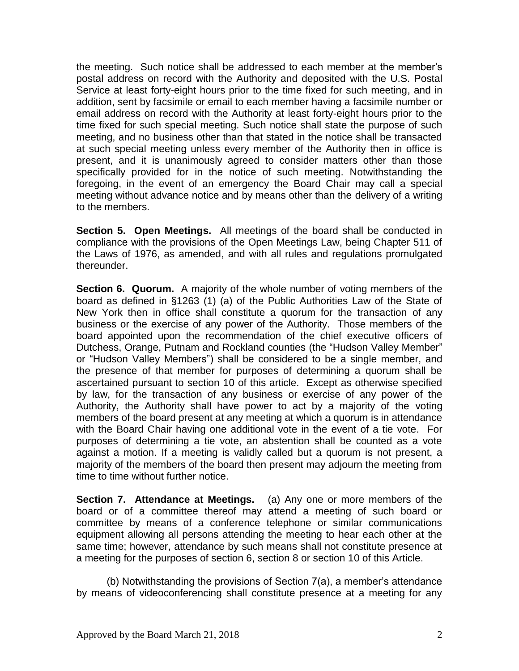the meeting. Such notice shall be addressed to each member at the member's postal address on record with the Authority and deposited with the U.S. Postal Service at least forty-eight hours prior to the time fixed for such meeting, and in addition, sent by facsimile or email to each member having a facsimile number or email address on record with the Authority at least forty-eight hours prior to the time fixed for such special meeting. Such notice shall state the purpose of such meeting, and no business other than that stated in the notice shall be transacted at such special meeting unless every member of the Authority then in office is present, and it is unanimously agreed to consider matters other than those specifically provided for in the notice of such meeting. Notwithstanding the foregoing, in the event of an emergency the Board Chair may call a special meeting without advance notice and by means other than the delivery of a writing to the members.

**Section 5. Open Meetings.** All meetings of the board shall be conducted in compliance with the provisions of the Open Meetings Law, being Chapter 511 of the Laws of 1976, as amended, and with all rules and regulations promulgated thereunder.

**Section 6. Quorum.** A majority of the whole number of voting members of the board as defined in §1263 (1) (a) of the Public Authorities Law of the State of New York then in office shall constitute a quorum for the transaction of any business or the exercise of any power of the Authority. Those members of the board appointed upon the recommendation of the chief executive officers of Dutchess, Orange, Putnam and Rockland counties (the "Hudson Valley Member" or "Hudson Valley Members") shall be considered to be a single member, and the presence of that member for purposes of determining a quorum shall be ascertained pursuant to section 10 of this article. Except as otherwise specified by law, for the transaction of any business or exercise of any power of the Authority, the Authority shall have power to act by a majority of the voting members of the board present at any meeting at which a quorum is in attendance with the Board Chair having one additional vote in the event of a tie vote. For purposes of determining a tie vote, an abstention shall be counted as a vote against a motion. If a meeting is validly called but a quorum is not present, a majority of the members of the board then present may adjourn the meeting from time to time without further notice.

**Section 7. Attendance at Meetings.** (a) Any one or more members of the board or of a committee thereof may attend a meeting of such board or committee by means of a conference telephone or similar communications equipment allowing all persons attending the meeting to hear each other at the same time; however, attendance by such means shall not constitute presence at a meeting for the purposes of section 6, section 8 or section 10 of this Article.

(b) Notwithstanding the provisions of Section 7(a), a member's attendance by means of videoconferencing shall constitute presence at a meeting for any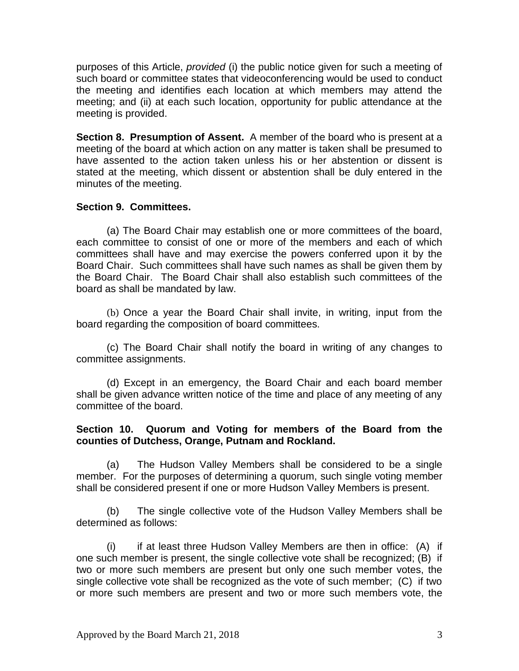purposes of this Article, *provided* (i) the public notice given for such a meeting of such board or committee states that videoconferencing would be used to conduct the meeting and identifies each location at which members may attend the meeting; and (ii) at each such location, opportunity for public attendance at the meeting is provided.

**Section 8. Presumption of Assent.** A member of the board who is present at a meeting of the board at which action on any matter is taken shall be presumed to have assented to the action taken unless his or her abstention or dissent is stated at the meeting, which dissent or abstention shall be duly entered in the minutes of the meeting.

#### **Section 9. Committees.**

(a) The Board Chair may establish one or more committees of the board, each committee to consist of one or more of the members and each of which committees shall have and may exercise the powers conferred upon it by the Board Chair. Such committees shall have such names as shall be given them by the Board Chair. The Board Chair shall also establish such committees of the board as shall be mandated by law.

(b) Once a year the Board Chair shall invite, in writing, input from the board regarding the composition of board committees.

(c) The Board Chair shall notify the board in writing of any changes to committee assignments.

(d) Except in an emergency, the Board Chair and each board member shall be given advance written notice of the time and place of any meeting of any committee of the board.

#### **Section 10. Quorum and Voting for members of the Board from the counties of Dutchess, Orange, Putnam and Rockland.**

(a) The Hudson Valley Members shall be considered to be a single member. For the purposes of determining a quorum, such single voting member shall be considered present if one or more Hudson Valley Members is present.

(b) The single collective vote of the Hudson Valley Members shall be determined as follows:

(i) if at least three Hudson Valley Members are then in office: (A) if one such member is present, the single collective vote shall be recognized; (B) if two or more such members are present but only one such member votes, the single collective vote shall be recognized as the vote of such member; (C) if two or more such members are present and two or more such members vote, the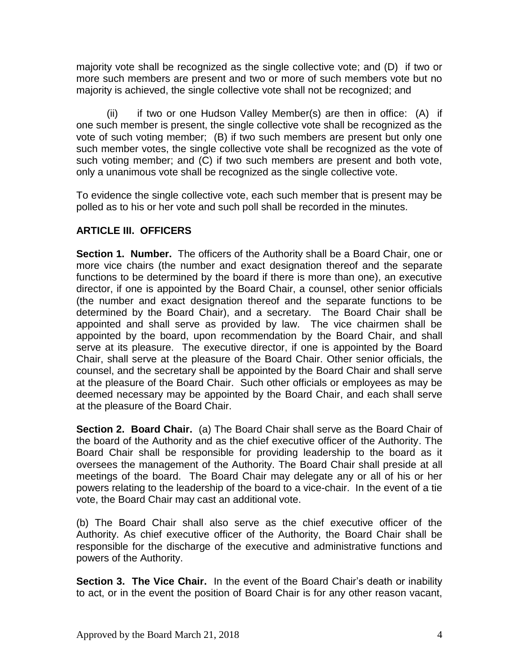majority vote shall be recognized as the single collective vote; and (D) if two or more such members are present and two or more of such members vote but no majority is achieved, the single collective vote shall not be recognized; and

(ii) if two or one Hudson Valley Member(s) are then in office: (A) if one such member is present, the single collective vote shall be recognized as the vote of such voting member; (B) if two such members are present but only one such member votes, the single collective vote shall be recognized as the vote of such voting member; and (C) if two such members are present and both vote, only a unanimous vote shall be recognized as the single collective vote.

To evidence the single collective vote, each such member that is present may be polled as to his or her vote and such poll shall be recorded in the minutes.

# **ARTICLE III. OFFICERS**

**Section 1. Number.** The officers of the Authority shall be a Board Chair, one or more vice chairs (the number and exact designation thereof and the separate functions to be determined by the board if there is more than one), an executive director, if one is appointed by the Board Chair, a counsel, other senior officials (the number and exact designation thereof and the separate functions to be determined by the Board Chair), and a secretary. The Board Chair shall be appointed and shall serve as provided by law. The vice chairmen shall be appointed by the board, upon recommendation by the Board Chair, and shall serve at its pleasure. The executive director, if one is appointed by the Board Chair, shall serve at the pleasure of the Board Chair. Other senior officials, the counsel, and the secretary shall be appointed by the Board Chair and shall serve at the pleasure of the Board Chair. Such other officials or employees as may be deemed necessary may be appointed by the Board Chair, and each shall serve at the pleasure of the Board Chair.

**Section 2. Board Chair.** (a) The Board Chair shall serve as the Board Chair of the board of the Authority and as the chief executive officer of the Authority. The Board Chair shall be responsible for providing leadership to the board as it oversees the management of the Authority. The Board Chair shall preside at all meetings of the board. The Board Chair may delegate any or all of his or her powers relating to the leadership of the board to a vice-chair. In the event of a tie vote, the Board Chair may cast an additional vote.

(b) The Board Chair shall also serve as the chief executive officer of the Authority. As chief executive officer of the Authority, the Board Chair shall be responsible for the discharge of the executive and administrative functions and powers of the Authority.

**Section 3. The Vice Chair.** In the event of the Board Chair's death or inability to act, or in the event the position of Board Chair is for any other reason vacant,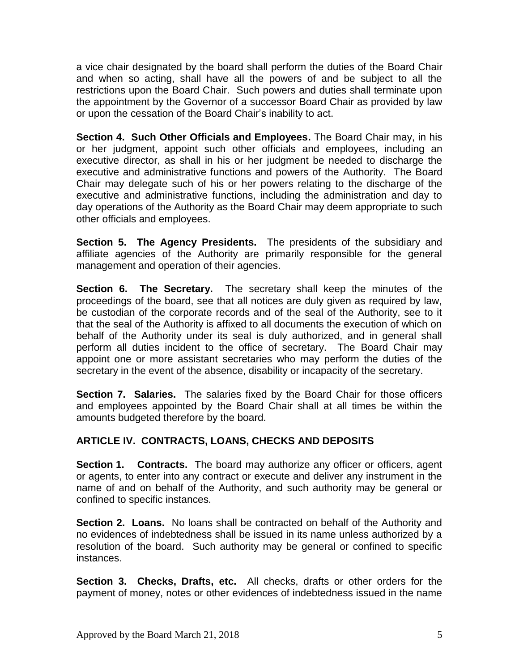a vice chair designated by the board shall perform the duties of the Board Chair and when so acting, shall have all the powers of and be subject to all the restrictions upon the Board Chair. Such powers and duties shall terminate upon the appointment by the Governor of a successor Board Chair as provided by law or upon the cessation of the Board Chair's inability to act.

**Section 4. Such Other Officials and Employees.** The Board Chair may, in his or her judgment, appoint such other officials and employees, including an executive director, as shall in his or her judgment be needed to discharge the executive and administrative functions and powers of the Authority. The Board Chair may delegate such of his or her powers relating to the discharge of the executive and administrative functions, including the administration and day to day operations of the Authority as the Board Chair may deem appropriate to such other officials and employees.

**Section 5. The Agency Presidents.** The presidents of the subsidiary and affiliate agencies of the Authority are primarily responsible for the general management and operation of their agencies.

**Section 6. The Secretary.** The secretary shall keep the minutes of the proceedings of the board, see that all notices are duly given as required by law, be custodian of the corporate records and of the seal of the Authority, see to it that the seal of the Authority is affixed to all documents the execution of which on behalf of the Authority under its seal is duly authorized, and in general shall perform all duties incident to the office of secretary. The Board Chair may appoint one or more assistant secretaries who may perform the duties of the secretary in the event of the absence, disability or incapacity of the secretary.

**Section 7. Salaries.** The salaries fixed by the Board Chair for those officers and employees appointed by the Board Chair shall at all times be within the amounts budgeted therefore by the board.

## **ARTICLE IV. CONTRACTS, LOANS, CHECKS AND DEPOSITS**

**Section 1. Contracts.** The board may authorize any officer or officers, agent or agents, to enter into any contract or execute and deliver any instrument in the name of and on behalf of the Authority, and such authority may be general or confined to specific instances.

**Section 2. Loans.** No loans shall be contracted on behalf of the Authority and no evidences of indebtedness shall be issued in its name unless authorized by a resolution of the board. Such authority may be general or confined to specific instances.

**Section 3. Checks, Drafts, etc.** All checks, drafts or other orders for the payment of money, notes or other evidences of indebtedness issued in the name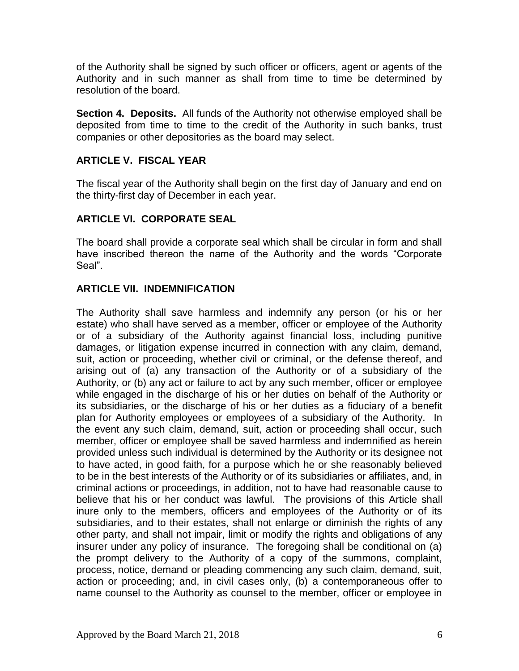of the Authority shall be signed by such officer or officers, agent or agents of the Authority and in such manner as shall from time to time be determined by resolution of the board.

**Section 4. Deposits.** All funds of the Authority not otherwise employed shall be deposited from time to time to the credit of the Authority in such banks, trust companies or other depositories as the board may select.

#### **ARTICLE V. FISCAL YEAR**

The fiscal year of the Authority shall begin on the first day of January and end on the thirty-first day of December in each year.

## **ARTICLE VI. CORPORATE SEAL**

The board shall provide a corporate seal which shall be circular in form and shall have inscribed thereon the name of the Authority and the words "Corporate Seal".

#### **ARTICLE VII. INDEMNIFICATION**

The Authority shall save harmless and indemnify any person (or his or her estate) who shall have served as a member, officer or employee of the Authority or of a subsidiary of the Authority against financial loss, including punitive damages, or litigation expense incurred in connection with any claim, demand, suit, action or proceeding, whether civil or criminal, or the defense thereof, and arising out of (a) any transaction of the Authority or of a subsidiary of the Authority, or (b) any act or failure to act by any such member, officer or employee while engaged in the discharge of his or her duties on behalf of the Authority or its subsidiaries, or the discharge of his or her duties as a fiduciary of a benefit plan for Authority employees or employees of a subsidiary of the Authority. In the event any such claim, demand, suit, action or proceeding shall occur, such member, officer or employee shall be saved harmless and indemnified as herein provided unless such individual is determined by the Authority or its designee not to have acted, in good faith, for a purpose which he or she reasonably believed to be in the best interests of the Authority or of its subsidiaries or affiliates, and, in criminal actions or proceedings, in addition, not to have had reasonable cause to believe that his or her conduct was lawful. The provisions of this Article shall inure only to the members, officers and employees of the Authority or of its subsidiaries, and to their estates, shall not enlarge or diminish the rights of any other party, and shall not impair, limit or modify the rights and obligations of any insurer under any policy of insurance. The foregoing shall be conditional on (a) the prompt delivery to the Authority of a copy of the summons, complaint, process, notice, demand or pleading commencing any such claim, demand, suit, action or proceeding; and, in civil cases only, (b) a contemporaneous offer to name counsel to the Authority as counsel to the member, officer or employee in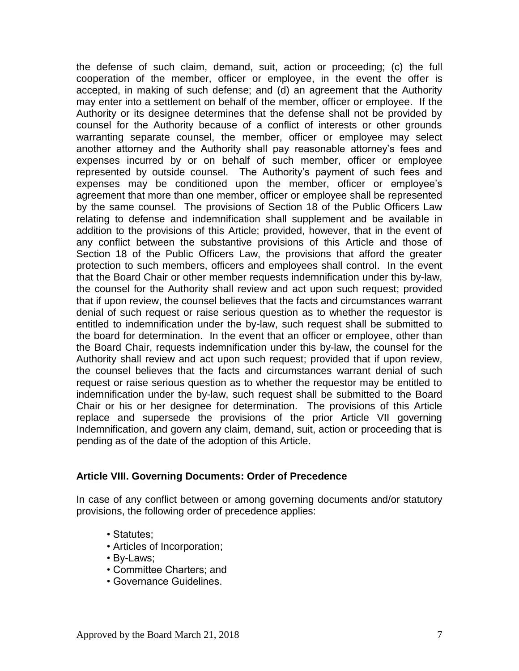the defense of such claim, demand, suit, action or proceeding; (c) the full cooperation of the member, officer or employee, in the event the offer is accepted, in making of such defense; and (d) an agreement that the Authority may enter into a settlement on behalf of the member, officer or employee. If the Authority or its designee determines that the defense shall not be provided by counsel for the Authority because of a conflict of interests or other grounds warranting separate counsel, the member, officer or employee may select another attorney and the Authority shall pay reasonable attorney's fees and expenses incurred by or on behalf of such member, officer or employee represented by outside counsel. The Authority's payment of such fees and expenses may be conditioned upon the member, officer or employee's agreement that more than one member, officer or employee shall be represented by the same counsel. The provisions of Section 18 of the Public Officers Law relating to defense and indemnification shall supplement and be available in addition to the provisions of this Article; provided, however, that in the event of any conflict between the substantive provisions of this Article and those of Section 18 of the Public Officers Law, the provisions that afford the greater protection to such members, officers and employees shall control. In the event that the Board Chair or other member requests indemnification under this by-law, the counsel for the Authority shall review and act upon such request; provided that if upon review, the counsel believes that the facts and circumstances warrant denial of such request or raise serious question as to whether the requestor is entitled to indemnification under the by-law, such request shall be submitted to the board for determination. In the event that an officer or employee, other than the Board Chair, requests indemnification under this by-law, the counsel for the Authority shall review and act upon such request; provided that if upon review, the counsel believes that the facts and circumstances warrant denial of such request or raise serious question as to whether the requestor may be entitled to indemnification under the by-law, such request shall be submitted to the Board Chair or his or her designee for determination. The provisions of this Article replace and supersede the provisions of the prior Article VII governing Indemnification, and govern any claim, demand, suit, action or proceeding that is pending as of the date of the adoption of this Article.

#### **Article VIII. Governing Documents: Order of Precedence**

In case of any conflict between or among governing documents and/or statutory provisions, the following order of precedence applies:

- Statutes;
- Articles of Incorporation;
- By-Laws;
- Committee Charters; and
- Governance Guidelines.